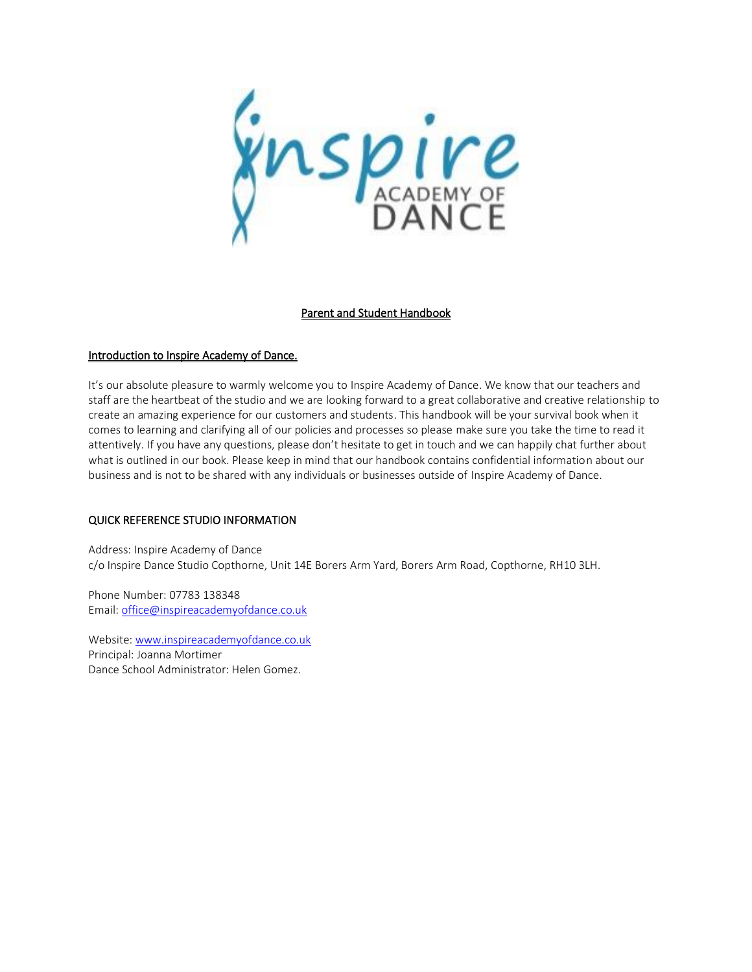inspire

## Parent and Student Handbook

### Introduction to Inspire Academy of Dance.

It's our absolute pleasure to warmly welcome you to Inspire Academy of Dance. We know that our teachers and staff are the heartbeat of the studio and we are looking forward to a great collaborative and creative relationship to create an amazing experience for our customers and students. This handbook will be your survival book when it comes to learning and clarifying all of our policies and processes so please make sure you take the time to read it attentively. If you have any questions, please don't hesitate to get in touch and we can happily chat further about what is outlined in our book. Please keep in mind that our handbook contains confidential information about our business and is not to be shared with any individuals or businesses outside of Inspire Academy of Dance.

## QUICK REFERENCE STUDIO INFORMATION

Address: Inspire Academy of Dance c/o Inspire Dance Studio Copthorne, Unit 14E Borers Arm Yard, Borers Arm Road, Copthorne, RH10 3LH.

Phone Number: 07783 138348 Email: [office@inspireacademyofdance.co.uk](mailto:office@inspireacademyofdance.co.uk)

Website: [www.inspireacademyofdance.co.uk](http://www.inspireacademyofdance.co.uk/) Principal: Joanna Mortimer Dance School Administrator: Helen Gomez.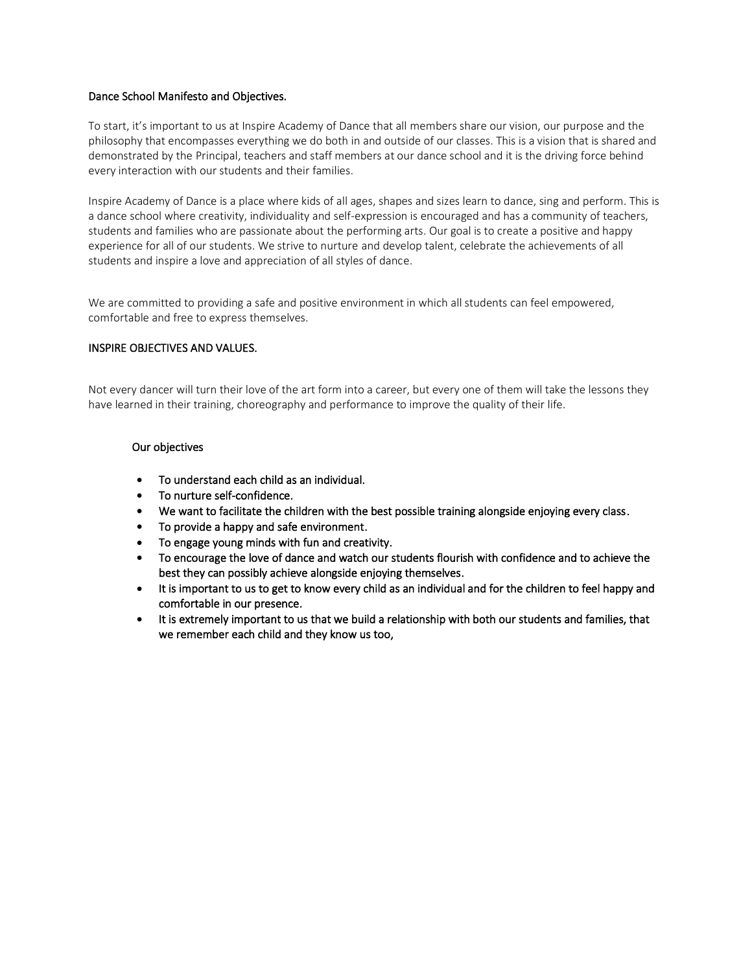### Dance School Manifesto and Objectives.

To start, it's important to us at Inspire Academy of Dance that all members share our vision, our purpose and the philosophy that encompasses everything we do both in and outside of our classes. This is a vision that is shared and demonstrated by the Principal, teachers and staff members at our dance school and it is the driving force behind every interaction with our students and their families.

Inspire Academy of Dance is a place where kids of all ages, shapes and sizes learn to dance, sing and perform. This is a dance school where creativity, individuality and self-expression is encouraged and has a community of teachers, students and families who are passionate about the performing arts. Our goal is to create a positive and happy experience for all of our students. We strive to nurture and develop talent, celebrate the achievements of all students and inspire a love and appreciation of all styles of dance.

We are committed to providing a safe and positive environment in which all students can feel empowered, comfortable and free to express themselves.

## INSPIRE OBJECTIVES AND VALUES.

Not every dancer will turn their love of the art form into a career, but every one of them will take the lessons they have learned in their training, choreography and performance to improve the quality of their life.

### Our objectives

- To understand each child as an individual.
- To nurture self-confidence.
- We want to facilitate the children with the best possible training alongside enjoying every class.
- To provide a happy and safe environment.
- To engage young minds with fun and creativity.
- To encourage the love of dance and watch our students flourish with confidence and to achieve the best they can possibly achieve alongside enjoying themselves.
- It is important to us to get to know every child as an individual and for the children to feel happy and comfortable in our presence.
- It is extremely important to us that we build a relationship with both our students and families, that we remember each child and they know us too,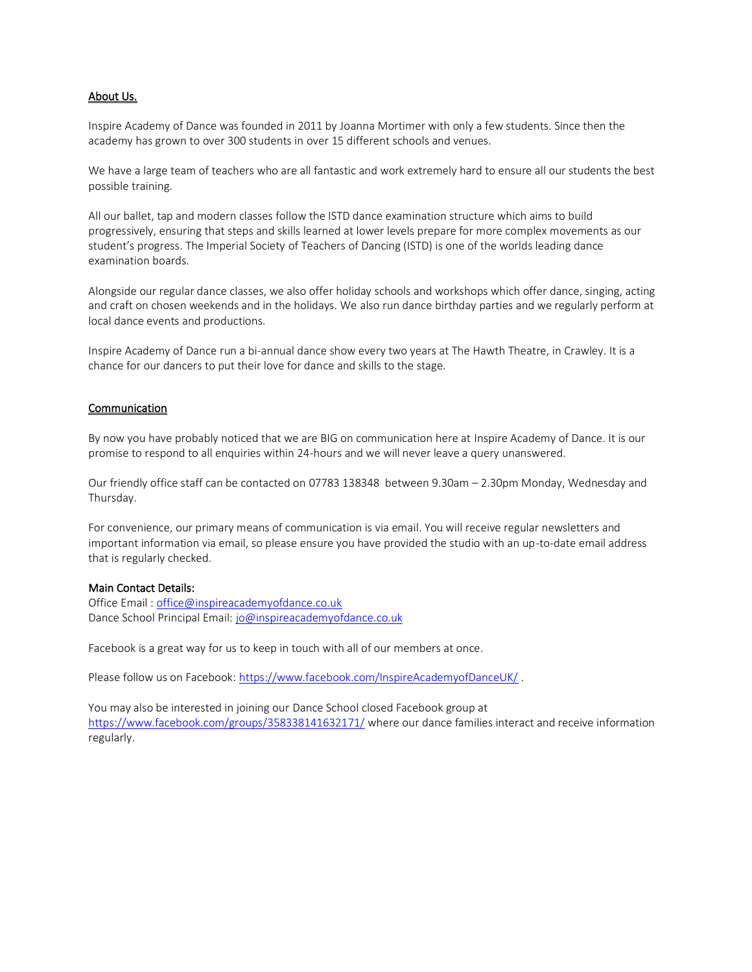### About Us.

Inspire Academy of Dance was founded in 2011 by Joanna Mortimer with only a few students. Since then the academy has grown to over 300 students in over 15 different schools and venues.

We have a large team of teachers who are all fantastic and work extremely hard to ensure all our students the best possible training.

All our ballet, tap and modern classes follow the ISTD dance examination structure which aims to build progressively, ensuring that steps and skills learned at lower levels prepare for more complex movements as our student's progress. The Imperial Society of Teachers of Dancing (ISTD) is one of the worlds leading dance examination boards.

Alongside our regular dance classes, we also offer holiday schools and workshops which offer dance, singing, acting and craft on chosen weekends and in the holidays. We also run dance birthday parties and we regularly perform at local dance events and productions.

Inspire Academy of Dance run a bi-annual dance show every two years at The Hawth Theatre, in Crawley. It is a chance for our dancers to put their love for dance and skills to the stage.

#### **Communication**

By now you have probably noticed that we are BIG on communication here at Inspire Academy of Dance. It is our promise to respond to all enquiries within 24-hours and we will never leave a query unanswered.

Our friendly office staff can be contacted on 07783 138348 between 9.30am – 2.30pm Monday, Wednesday and Thursday.

For convenience, our primary means of communication is via email. You will receive regular newsletters and important information via email, so please ensure you have provided the studio with an up-to-date email address that is regularly checked.

#### Main Contact Details:

Office Email [: office@inspireacademyofdance.co.uk](mailto:office@inspireacademyofdance.co.uk) Dance School Principal Email: [jo@inspireacademyofdance.co.uk](mailto:jo@inspireacademyofdance.co.uk)

Facebook is a great way for us to keep in touch with all of our members at once.

Please follow us on Facebook: <https://www.facebook.com/InspireAcademyofDanceUK/> .

You may also be interested in joining our Dance School closed Facebook group at <https://www.facebook.com/groups/358338141632171/> where our dance families interact and receive information regularly.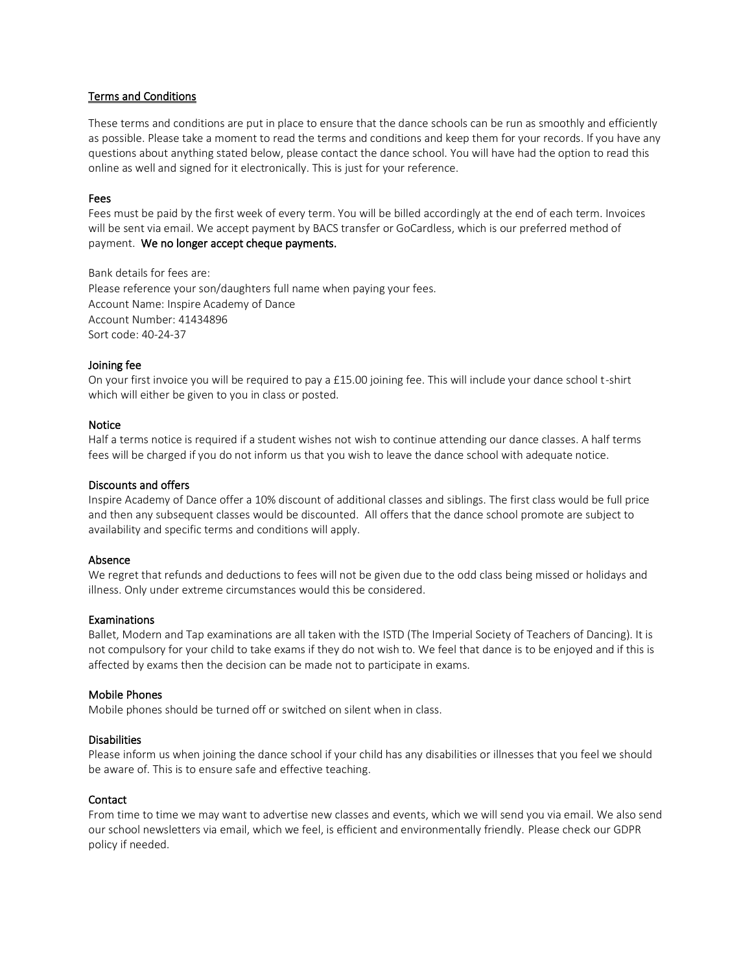### Terms and Conditions

These terms and conditions are put in place to ensure that the dance schools can be run as smoothly and efficiently as possible. Please take a moment to read the terms and conditions and keep them for your records. If you have any questions about anything stated below, please contact the dance school. You will have had the option to read this online as well and signed for it electronically. This is just for your reference.

### Fees

Fees must be paid by the first week of every term. You will be billed accordingly at the end of each term. Invoices will be sent via email. We accept payment by BACS transfer or GoCardless, which is our preferred method of payment. We no longer accept cheque payments.

Bank details for fees are: Please reference your son/daughters full name when paying your fees. Account Name: Inspire Academy of Dance

Account Number: 41434896 Sort code: 40-24-37

## Joining fee

On your first invoice you will be required to pay a £15.00 joining fee. This will include your dance school t-shirt which will either be given to you in class or posted.

### Notice

Half a terms notice is required if a student wishes not wish to continue attending our dance classes. A half terms fees will be charged if you do not inform us that you wish to leave the dance school with adequate notice.

#### Discounts and offers

Inspire Academy of Dance offer a 10% discount of additional classes and siblings. The first class would be full price and then any subsequent classes would be discounted. All offers that the dance school promote are subject to availability and specific terms and conditions will apply.

#### Absence

We regret that refunds and deductions to fees will not be given due to the odd class being missed or holidays and illness. Only under extreme circumstances would this be considered.

#### Examinations

Ballet, Modern and Tap examinations are all taken with the ISTD (The Imperial Society of Teachers of Dancing). It is not compulsory for your child to take exams if they do not wish to. We feel that dance is to be enjoyed and if this is affected by exams then the decision can be made not to participate in exams.

#### Mobile Phones

Mobile phones should be turned off or switched on silent when in class.

## **Disabilities**

Please inform us when joining the dance school if your child has any disabilities or illnesses that you feel we should be aware of. This is to ensure safe and effective teaching.

#### **Contact**

From time to time we may want to advertise new classes and events, which we will send you via email. We also send our school newsletters via email, which we feel, is efficient and environmentally friendly. Please check our GDPR policy if needed.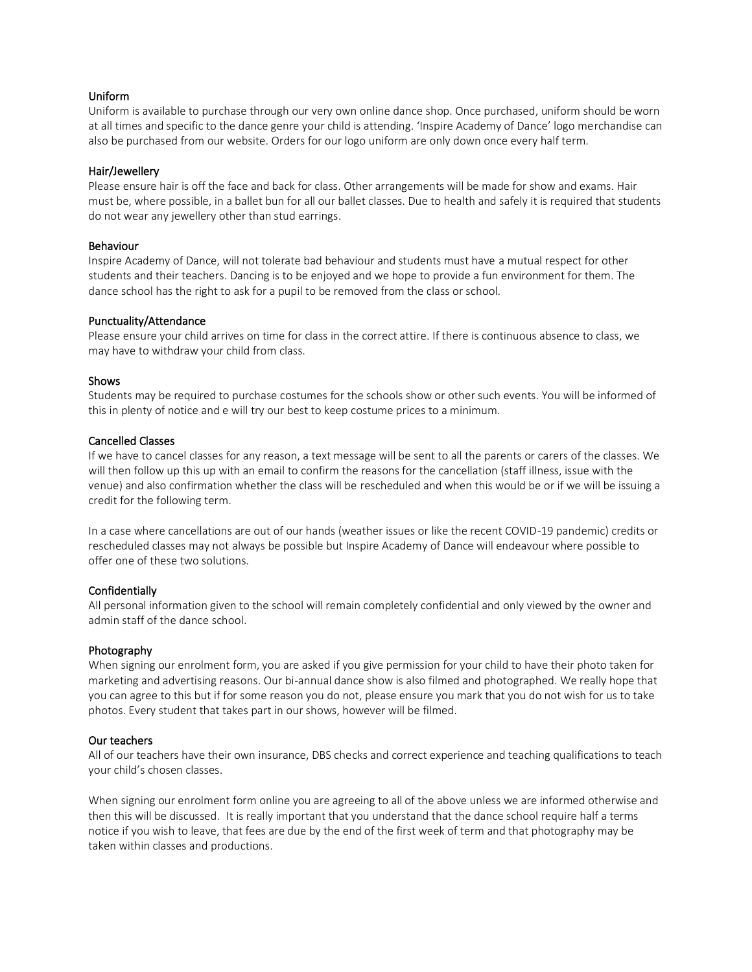### Uniform

Uniform is available to purchase through our very own online dance shop. Once purchased, uniform should be worn at all times and specific to the dance genre your child is attending. 'Inspire Academy of Dance' logo merchandise can also be purchased from our website. Orders for our logo uniform are only down once every half term.

### Hair/Jewellery

Please ensure hair is off the face and back for class. Other arrangements will be made for show and exams. Hair must be, where possible, in a ballet bun for all our ballet classes. Due to health and safely it is required that students do not wear any jewellery other than stud earrings.

#### Behaviour

Inspire Academy of Dance, will not tolerate bad behaviour and students must have a mutual respect for other students and their teachers. Dancing is to be enjoyed and we hope to provide a fun environment for them. The dance school has the right to ask for a pupil to be removed from the class or school.

#### Punctuality/Attendance

Please ensure your child arrives on time for class in the correct attire. If there is continuous absence to class, we may have to withdraw your child from class.

### Shows

Students may be required to purchase costumes for the schools show or other such events. You will be informed of this in plenty of notice and e will try our best to keep costume prices to a minimum.

#### Cancelled Classes

If we have to cancel classes for any reason, a text message will be sent to all the parents or carers of the classes. We will then follow up this up with an email to confirm the reasons for the cancellation (staff illness, issue with the venue) and also confirmation whether the class will be rescheduled and when this would be or if we will be issuing a credit for the following term.

In a case where cancellations are out of our hands (weather issues or like the recent COVID-19 pandemic) credits or rescheduled classes may not always be possible but Inspire Academy of Dance will endeavour where possible to offer one of these two solutions.

## Confidentially

All personal information given to the school will remain completely confidential and only viewed by the owner and admin staff of the dance school.

## Photography

When signing our enrolment form, you are asked if you give permission for your child to have their photo taken for marketing and advertising reasons. Our bi-annual dance show is also filmed and photographed. We really hope that you can agree to this but if for some reason you do not, please ensure you mark that you do not wish for us to take photos. Every student that takes part in our shows, however will be filmed.

#### Our teachers

All of our teachers have their own insurance, DBS checks and correct experience and teaching qualifications to teach your child's chosen classes.

When signing our enrolment form online you are agreeing to all of the above unless we are informed otherwise and then this will be discussed. It is really important that you understand that the dance school require half a terms notice if you wish to leave, that fees are due by the end of the first week of term and that photography may be taken within classes and productions.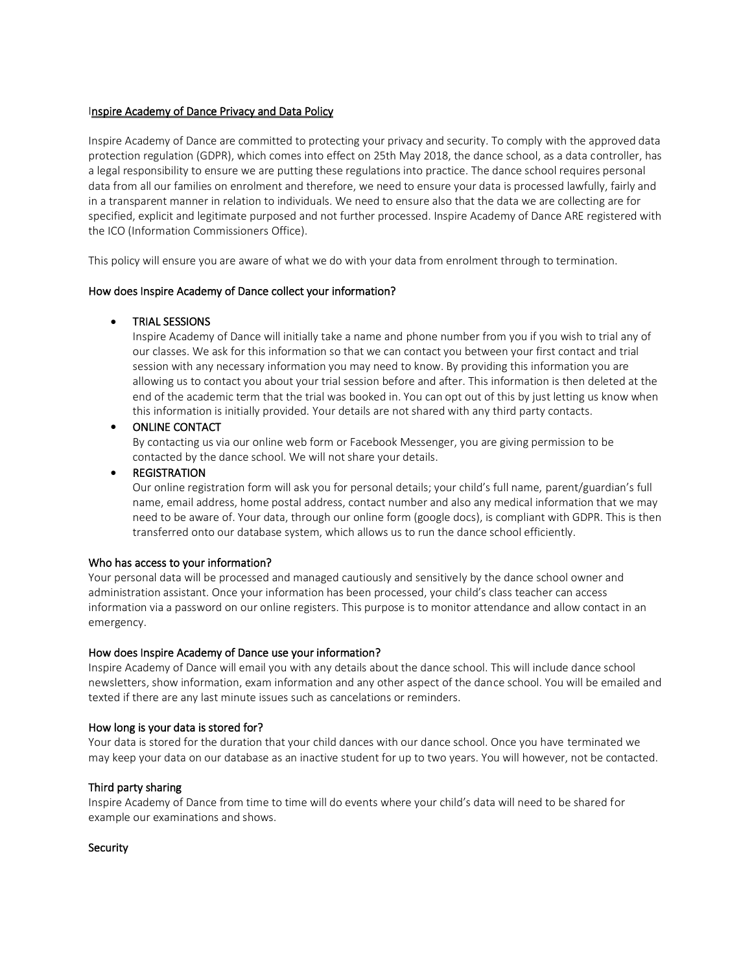## Inspire Academy of Dance Privacy and Data Policy

Inspire Academy of Dance are committed to protecting your privacy and security. To comply with the approved data protection regulation (GDPR), which comes into effect on 25th May 2018, the dance school, as a data controller, has a legal responsibility to ensure we are putting these regulations into practice. The dance school requires personal data from all our families on enrolment and therefore, we need to ensure your data is processed lawfully, fairly and in a transparent manner in relation to individuals. We need to ensure also that the data we are collecting are for specified, explicit and legitimate purposed and not further processed. Inspire Academy of Dance ARE registered with the ICO (Information Commissioners Office).

This policy will ensure you are aware of what we do with your data from enrolment through to termination.

## How does Inspire Academy of Dance collect your information?

### • TRIAL SESSIONS

Inspire Academy of Dance will initially take a name and phone number from you if you wish to trial any of our classes. We ask for this information so that we can contact you between your first contact and trial session with any necessary information you may need to know. By providing this information you are allowing us to contact you about your trial session before and after. This information is then deleted at the end of the academic term that the trial was booked in. You can opt out of this by just letting us know when this information is initially provided. Your details are not shared with any third party contacts.

### • ONLINE CONTACT

By contacting us via our online web form or Facebook Messenger, you are giving permission to be contacted by the dance school. We will not share your details.

#### **REGISTRATION**

Our online registration form will ask you for personal details; your child's full name, parent/guardian's full name, email address, home postal address, contact number and also any medical information that we may need to be aware of. Your data, through our online form (google docs), is compliant with GDPR. This is then transferred onto our database system, which allows us to run the dance school efficiently.

#### Who has access to your information?

Your personal data will be processed and managed cautiously and sensitively by the dance school owner and administration assistant. Once your information has been processed, your child's class teacher can access information via a password on our online registers. This purpose is to monitor attendance and allow contact in an emergency.

## How does Inspire Academy of Dance use your information?

Inspire Academy of Dance will email you with any details about the dance school. This will include dance school newsletters, show information, exam information and any other aspect of the dance school. You will be emailed and texted if there are any last minute issues such as cancelations or reminders.

#### How long is your data is stored for?

Your data is stored for the duration that your child dances with our dance school. Once you have terminated we may keep your data on our database as an inactive student for up to two years. You will however, not be contacted.

## Third party sharing

Inspire Academy of Dance from time to time will do events where your child's data will need to be shared for example our examinations and shows.

#### **Security**